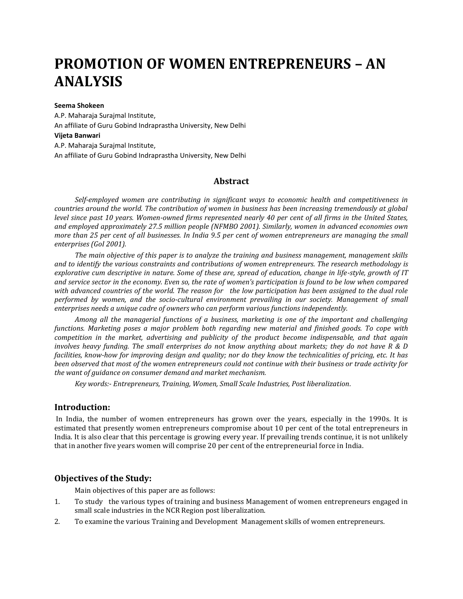# **PROMOTION OF WOMEN ENTREPRENEURS – AN ANALYSIS**

#### **Seema Shokeen**

A.P. Maharaja Surajmal Institute, An affiliate of Guru Gobind Indraprastha University, New Delhi **Vijeta Banwari** A.P. Maharaja Surajmal Institute, An affiliate of Guru Gobind Indraprastha University, New Delhi

## **Abstract**

*Self-employed women are contributing in significant ways to economic health and competitiveness in countries around the world. The contribution of women in business has been increasing tremendously at global level since past 10 years. Women-owned firms represented nearly 40 per cent of all firms in the United States, and employed approximately 27.5 million people (NFMBO 2001). Similarly, women in advanced economies own more than 25 per cent of all businesses. In India 9.5 per cent of women entrepreneurs are managing the small enterprises (GoI 2001).*

*The main objective of this paper is to analyze the training and business management, management skills and to identify the various constraints and contributions of women entrepreneurs. The research methodology is explorative cum descriptive in nature. Some of these are, spread of education, change in life-style, growth of IT and service sector in the economy. Even so, the rate of women's participation is found to be low when compared with advanced countries of the world. The reason for the low participation has been assigned to the dual role performed by women, and the socio-cultural environment prevailing in our society. Management of small enterprises needs a unique cadre of owners who can perform various functions independently.*

*Among all the managerial functions of a business, marketing is one of the important and challenging functions. Marketing poses a major problem both regarding new material and finished goods. To cope with competition in the market, advertising and publicity of the product become indispensable, and that again involves heavy funding. The small enterprises do not know anything about markets; they do not have R & D facilities, know-how for improving design and quality; nor do they know the technicalities of pricing, etc. It has been observed that most of the women entrepreneurs could not continue with their business or trade activity for the want of guidance on consumer demand and market mechanism.* 

*Key words:- Entrepreneurs, Training, Women, Small Scale Industries, Post liberalization.* 

#### **Introduction:**

In India, the number of women entrepreneurs has grown over the years, especially in the 1990s. It is estimated that presently women entrepreneurs compromise about 10 per cent of the total entrepreneurs in India. It is also clear that this percentage is growing every year. If prevailing trends continue, it is not unlikely that in another five years women will comprise 20 per cent of the entrepreneurial force in India.

# **Objectives of the Study:**

Main objectives of this paper are as follows:

- 1. To study the various types of training and business Management of women entrepreneurs engaged in small scale industries in the NCR Region post liberalization.
- 2. To examine the various Training and Development Management skills of women entrepreneurs.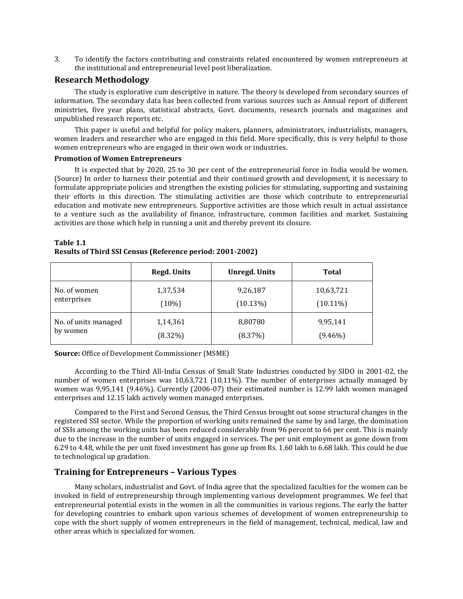3. To identify the factors contributing and constraints related encountered by women entrepreneurs at the institutional and entrepreneurial level post liberalization.

### **Research Methodology**

The study is explorative cum descriptive in nature. The theory is developed from secondary sources of information. The secondary data has been collected from various sources such as Annual report of different ministries, five year plans, statistical abstracts, Govt. documents, research journals and magazines and unpublished research reports etc.

This paper is useful and helpful for policy makers, planners, administrators, industrialists, managers, women leaders and researcher who are engaged in this field. More specifically, this is very helpful to those women entrepreneurs who are engaged in their own work or industries.

#### **Promotion of Women Entrepreneurs**

It is expected that by 2020, 25 to 30 per cent of the entrepreneurial force in India would be women. (Source) In order to harness their potential and their continued growth and development, it is necessary to formulate appropriate policies and strengthen the existing policies for stimulating, supporting and sustaining their efforts in this direction. The stimulating activities are those which contribute to entrepreneurial education and motivate new entrepreneurs. Supportive activities are those which result in actual assistance to a venture such as the availability of finance, infrastructure, common facilities and market. Sustaining activities are those which help in running a unit and thereby prevent its closure.

|                      | <b>Regd. Units</b> | <b>Unregd. Units</b> | <b>Total</b> |
|----------------------|--------------------|----------------------|--------------|
| No. of women         | 1,37,534           | 9,26,187             | 10,63,721    |
| enterprises          | $(10\%)$           | $(10.13\%)$          | $(10.11\%)$  |
| No. of units managed | 1,14,361           | 8,80780              | 9,95,141     |
| by women             | $(8.32\%)$         | (8.37%)              | $(9.46\%)$   |

#### **Table 1.1 Results of Third SSI Census (Reference period: 2001-2002)**

**Source:** Office of Development Commissioner (MSME)

According to the Third All-India Census of Small State Industries conducted by SIDO in 2001-02, the number of women enterprises was 10,63,721 (10.11%). The number of enterprises actually managed by women was 9,95,141 (9.46%). Currently (2006-07) their estimated number is 12.99 lakh women managed enterprises and 12.15 lakh actively women managed enterprises.

Compared to the First and Second Census, the Third Census brought out some structural changes in the registered SSI sector. While the proportion of working units remained the same by and large, the domination of SSIs among the working units has been reduced considerably from 96 percent to 66 per cent. This is mainly due to the increase in the number of units engaged in services. The per unit employment as gone down from 6.29 to 4.48, while the per unit fixed investment has gone up from Rs. 1.60 lakh to 6.68 lakh. This could be due to technological up gradation.

## **Training for Entrepreneurs – Various Types**

Many scholars, industrialist and Govt. of India agree that the specialized faculties for the women can be invoked in field of entrepreneurship through implementing various development programmes. We feel that entrepreneurial potential exists in the women in all the communities in various regions. The early the batter for developing countries to embark upon various schemes of development of women entrepreneurship to cope with the short supply of women entrepreneurs in the field of management, technical, medical, law and other areas which is specialized for women.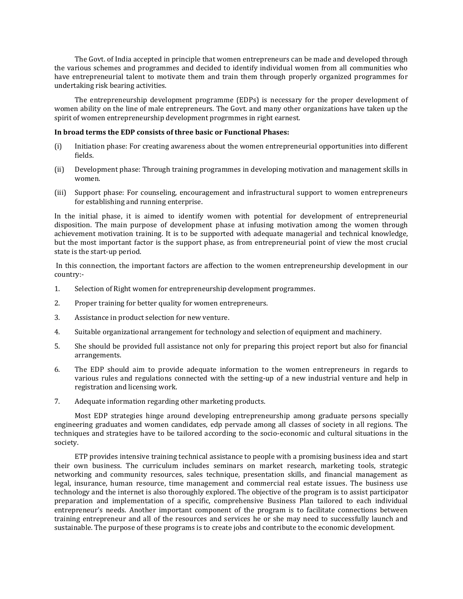The Govt. of India accepted in principle that women entrepreneurs can be made and developed through the various schemes and programmes and decided to identify individual women from all communities who have entrepreneurial talent to motivate them and train them through properly organized programmes for undertaking risk bearing activities.

The entrepreneurship development programme (EDPs) is necessary for the proper development of women ability on the line of male entrepreneurs. The Govt. and many other organizations have taken up the spirit of women entrepreneurship development progrmmes in right earnest.

#### **In broad terms the EDP consists of three basic or Functional Phases:**

- (i) Initiation phase: For creating awareness about the women entrepreneurial opportunities into different fields.
- (ii) Development phase: Through training programmes in developing motivation and management skills in women.
- (iii) Support phase: For counseling, encouragement and infrastructural support to women entrepreneurs for establishing and running enterprise.

In the initial phase, it is aimed to identify women with potential for development of entrepreneurial disposition. The main purpose of development phase at infusing motivation among the women through achievement motivation training. It is to be supported with adequate managerial and technical knowledge, but the most important factor is the support phase, as from entrepreneurial point of view the most crucial state is the start-up period.

In this connection, the important factors are affection to the women entrepreneurship development in our country:-

- 1. Selection of Right women for entrepreneurship development programmes.
- 2. Proper training for better quality for women entrepreneurs.
- 3. Assistance in product selection for new venture.
- 4. Suitable organizational arrangement for technology and selection of equipment and machinery.
- 5. She should be provided full assistance not only for preparing this project report but also for financial arrangements.
- 6. The EDP should aim to provide adequate information to the women entrepreneurs in regards to various rules and regulations connected with the setting-up of a new industrial venture and help in registration and licensing work.
- 7. Adequate information regarding other marketing products.

Most EDP strategies hinge around developing entrepreneurship among graduate persons specially engineering graduates and women candidates, edp pervade among all classes of society in all regions. The techniques and strategies have to be tailored according to the socio-economic and cultural situations in the society.

ETP provides intensive training technical assistance to people with a promising business idea and start their own business. The curriculum includes seminars on market research, marketing tools, strategic networking and community resources, sales technique, presentation skills, and financial management as legal, insurance, human resource, time management and commercial real estate issues. The business use technology and the internet is also thoroughly explored. The objective of the program is to assist participator preparation and implementation of a specific, comprehensive Business Plan tailored to each individual entrepreneur's needs. Another important component of the program is to facilitate connections between training entrepreneur and all of the resources and services he or she may need to successfully launch and sustainable. The purpose of these programs is to create jobs and contribute to the economic development.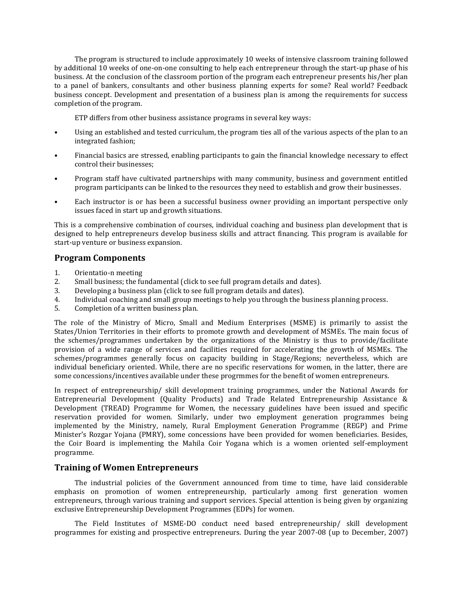The program is structured to include approximately 10 weeks of intensive classroom training followed by additional 10 weeks of one-on-one consulting to help each entrepreneur through the start-up phase of his business. At the conclusion of the classroom portion of the program each entrepreneur presents his/her plan to a panel of bankers, consultants and other business planning experts for some? Real world? Feedback business concept. Development and presentation of a business plan is among the requirements for success completion of the program.

ETP differs from other business assistance programs in several key ways:

- Using an established and tested curriculum, the program ties all of the various aspects of the plan to an integrated fashion;
- Financial basics are stressed, enabling participants to gain the financial knowledge necessary to effect control their businesses;
- Program staff have cultivated partnerships with many community, business and government entitled program participants can be linked to the resources they need to establish and grow their businesses.
- Each instructor is or has been a successful business owner providing an important perspective only issues faced in start up and growth situations.

This is a comprehensive combination of courses, individual coaching and business plan development that is designed to help entrepreneurs develop business skills and attract financing. This program is available for start-up venture or business expansion.

## **Program Components**

- 1. Orientatio-n meeting
- 2. Small business; the fundamental (click to see full program details and dates).
- 3. Developing a business plan (click to see full program details and dates).
- 4. Individual coaching and small group meetings to help you through the business planning process.
- 5. Completion of a written business plan.

The role of the Ministry of Micro, Small and Medium Enterprises (MSME) is primarily to assist the States/Union Territories in their efforts to promote growth and development of MSMEs. The main focus of the schemes/programmes undertaken by the organizations of the Ministry is thus to provide/facilitate provision of a wide range of services and facilities required for accelerating the growth of MSMEs. The schemes/programmes generally focus on capacity building in Stage/Regions; nevertheless, which are individual beneficiary oriented. While, there are no specific reservations for women, in the latter, there are some concessions/incentives available under these progrmmes for the benefit of women entrepreneurs.

In respect of entrepreneurship/ skill development training programmes, under the National Awards for Entrepreneurial Development (Quality Products) and Trade Related Entrepreneurship Assistance & Development (TREAD) Programme for Women, the necessary guidelines have been issued and specific reservation provided for women. Similarly, under two employment generation programmes being implemented by the Ministry, namely, Rural Employment Generation Programme (REGP) and Prime Minister's Rozgar Yojana (PMRY), some concessions have been provided for women beneficiaries. Besides, the Coir Board is implementing the Mahila Coir Yogana which is a women oriented self-employment programme.

## **Training of Women Entrepreneurs**

The industrial policies of the Government announced from time to time, have laid considerable emphasis on promotion of women entrepreneurship, particularly among first generation women entrepreneurs, through various training and support services. Special attention is being given by organizing exclusive Entrepreneurship Development Programmes (EDPs) for women.

The Field Institutes of MSME-DO conduct need based entrepreneurship/ skill development programmes for existing and prospective entrepreneurs. During the year 2007-08 (up to December, 2007)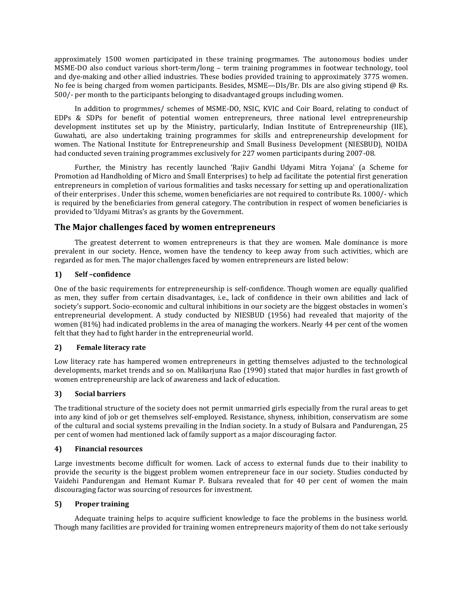approximately 1500 women participated in these training progrmames. The autonomous bodies under MSME-DO also conduct various short-term/long – term training programmes in footwear technology, tool and dye-making and other allied industries. These bodies provided training to approximately 3775 women. No fee is being charged from women participants. Besides, MSME—DIs/Br. DIs are also giving stipend @ Rs. 500/- per month to the participants belonging to disadvantaged groups including women.

In addition to progrmmes/ schemes of MSME-DO, NSIC, KVIC and Coir Board, relating to conduct of EDPs & SDPs for benefit of potential women entrepreneurs, three national level entrepreneurship development institutes set up by the Ministry, particularly, Indian Institute of Entrepreneurship (IIE), Guwahati, are also undertaking training programmes for skills and entrepreneurship development for women. The National Institute for Entrepreneurship and Small Business Development (NIESBUD), NOIDA had conducted seven training programmes exclusively for 227 women participants during 2007-08.

Further, the Ministry has recently launched 'Rajiv Gandhi Udyami Mitra Yojana' (a Scheme for Promotion ad Handholding of Micro and Small Enterprises) to help ad facilitate the potential first generation entrepreneurs in completion of various formalities and tasks necessary for setting up and operationalization of their enterprises . Under this scheme, women beneficiaries are not required to contribute Rs. 1000/- which is required by the beneficiaries from general category. The contribution in respect of women beneficiaries is provided to 'Udyami Mitras's as grants by the Government.

# **The Major challenges faced by women entrepreneurs**

The greatest deterrent to women entrepreneurs is that they are women. Male dominance is more prevalent in our society. Hence, women have the tendency to keep away from such activities, which are regarded as for men. The major challenges faced by women entrepreneurs are listed below:

#### **1) Self –confidence**

One of the basic requirements for entrepreneurship is self-confidence. Though women are equally qualified as men, they suffer from certain disadvantages, i.e., lack of confidence in their own abilities and lack of society's support. Socio-economic and cultural inhibitions in our society are the biggest obstacles in women's entrepreneurial development. A study conducted by NIESBUD (1956) had revealed that majority of the women (81%) had indicated problems in the area of managing the workers. Nearly 44 per cent of the women felt that they had to fight harder in the entrepreneurial world.

#### **2) Female literacy rate**

Low literacy rate has hampered women entrepreneurs in getting themselves adjusted to the technological developments, market trends and so on. Malikarjuna Rao (1990) stated that major hurdles in fast growth of women entrepreneurship are lack of awareness and lack of education.

## **3) Social barriers**

The traditional structure of the society does not permit unmarried girls especially from the rural areas to get into any kind of job or get themselves self-employed. Resistance, shyness, inhibition, conservatism are some of the cultural and social systems prevailing in the Indian society. In a study of Bulsara and Pandurengan, 25 per cent of women had mentioned lack of family support as a major discouraging factor.

#### **4) Financial resources**

Large investments become difficult for women. Lack of access to external funds due to their inability to provide the security is the biggest problem women entrepreneur face in our society. Studies conducted by Vaidehi Pandurengan and Hemant Kumar P. Bulsara revealed that for 40 per cent of women the main discouraging factor was sourcing of resources for investment.

#### **5) Proper training**

Adequate training helps to acquire sufficient knowledge to face the problems in the business world. Though many facilities are provided for training women entrepreneurs majority of them do not take seriously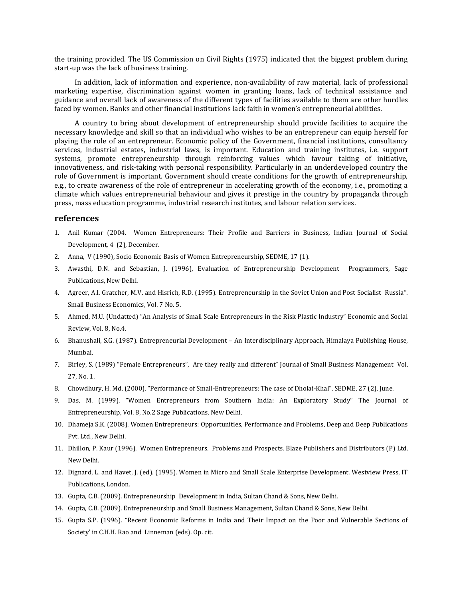the training provided. The US Commission on Civil Rights (1975) indicated that the biggest problem during start-up was the lack of business training.

In addition, lack of information and experience, non-availability of raw material, lack of professional marketing expertise, discrimination against women in granting loans, lack of technical assistance and guidance and overall lack of awareness of the different types of facilities available to them are other hurdles faced by women. Banks and other financial institutions lack faith in women's entrepreneurial abilities.

A country to bring about development of entrepreneurship should provide facilities to acquire the necessary knowledge and skill so that an individual who wishes to be an entrepreneur can equip herself for playing the role of an entrepreneur. Economic policy of the Government, financial institutions, consultancy services, industrial estates, industrial laws, is important. Education and training institutes, i.e. support systems, promote entrepreneurship through reinforcing values which favour taking of initiative, innovativeness, and risk-taking with personal responsibility. Particularly in an underdeveloped country the role of Government is important. Government should create conditions for the growth of entrepreneurship, e.g., to create awareness of the role of entrepreneur in accelerating growth of the economy, i.e., promoting a climate which values entrepreneurial behaviour and gives it prestige in the country by propaganda through press, mass education programme, industrial research institutes, and labour relation services.

#### **references**

- 1. Anil Kumar (2004. Women Entrepreneurs: Their Profile and Barriers in Business, Indian Journal of Social Development, 4 (2), December.
- 2. Anna, V (1990), Socio Economic Basis of Women Entrepreneurship, SEDME, 17 (1).
- 3. Awasthi, D.N. and Sebastian, J. (1996), Evaluation of Entrepreneurship Development Programmers, Sage Publications, New Delhi.
- 4. Agreer, A.I. Gratcher, M.V. and Hisrich, R.D. (1995). Entrepreneurship in the Soviet Union and Post Socialist Russia". Small Business Economics, Vol. 7 No. 5.
- 5. Ahmed, M.U. (Undatted) "An Analysis of Small Scale Entrepreneurs in the Risk Plastic Industry" Economic and Social Review, Vol. 8, No.4.
- 6. Bhanushali, S.G. (1987). Entrepreneurial Development An Interdisciplinary Approach, Himalaya Publishing House, Mumbai.
- 7. Birley, S. (1989) "Female Entrepreneurs", Are they really and different" Journal of Small Business Management Vol. 27, No. 1.
- 8. Chowdhury, H. Md. (2000). "Performance of Small-Entrepreneurs: The case of Dholai-Khal". SEDME, 27 (2). June.
- 9. Das, M. (1999). "Women Entrepreneurs from Southern India: An Exploratory Study" The Journal of Entrepreneurship, Vol. 8, No.2 Sage Publications, New Delhi.
- 10. Dhameja S.K. (2008). Women Entrepreneurs: Opportunities, Performance and Problems, Deep and Deep Publications Pvt. Ltd., New Delhi.
- 11. Dhillon, P. Kaur (1996). Women Entrepreneurs. Problems and Prospects. Blaze Publishers and Distributors (P) Ltd. New Delhi.
- 12. Dignard, L. and Havet, J. (ed). (1995). Women in Micro and Small Scale Enterprise Development. Westview Press, IT Publications, London.
- 13. Gupta, C.B. (2009). Entrepreneurship Development in India, Sultan Chand & Sons, New Delhi.
- 14. Gupta, C.B. (2009). Entrepreneurship and Small Business Management, Sultan Chand & Sons, New Delhi.
- 15. Gupta S.P. (1996). "Recent Economic Reforms in India and Their Impact on the Poor and Vulnerable Sections of Society' in C.H.H. Rao and Linneman (eds). Op. cit.